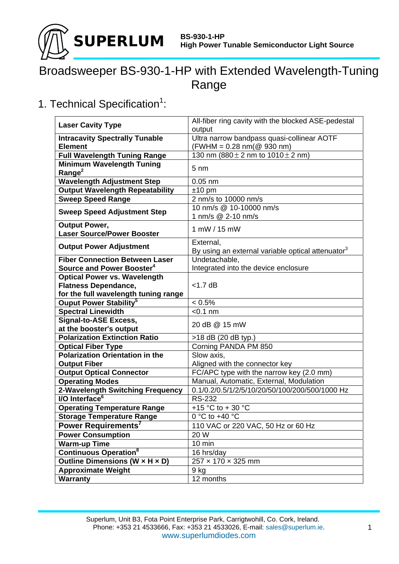

## Broadsweeper BS-930-1-HP with Extended Wavelength-Tuning Range

## 1. Technical Specification<sup>1</sup>:

| <b>Laser Cavity Type</b>                 | All-fiber ring cavity with the blocked ASE-pedestal           |  |
|------------------------------------------|---------------------------------------------------------------|--|
|                                          | output                                                        |  |
| <b>Intracavity Spectrally Tunable</b>    | Ultra narrow bandpass quasi-collinear AOTF                    |  |
| <b>Element</b>                           | $(FWHM = 0.28 \text{ nm}(\textcircled{2} 930 \text{ nm})$     |  |
| <b>Full Wavelength Tuning Range</b>      | 130 nm (880 $\pm$ 2 nm to 1010 $\pm$ 2 nm)                    |  |
| <b>Minimum Wavelength Tuning</b>         | $5 \text{ nm}$                                                |  |
| Range <sup>2</sup>                       |                                                               |  |
| <b>Wavelength Adjustment Step</b>        | $0.05$ nm                                                     |  |
| <b>Output Wavelength Repeatability</b>   | $±10$ pm                                                      |  |
| <b>Sweep Speed Range</b>                 | 2 nm/s to 10000 nm/s                                          |  |
| <b>Sweep Speed Adjustment Step</b>       | 10 nm/s @ 10-10000 nm/s                                       |  |
|                                          | 1 nm/s @ 2-10 nm/s                                            |  |
| <b>Output Power,</b>                     | 1 mW / 15 mW                                                  |  |
| <b>Laser Source/Power Booster</b>        |                                                               |  |
| <b>Output Power Adjustment</b>           | External,                                                     |  |
|                                          | By using an external variable optical attenuator <sup>3</sup> |  |
| <b>Fiber Connection Between Laser</b>    | Undetachable,                                                 |  |
| Source and Power Booster <sup>4</sup>    | Integrated into the device enclosure                          |  |
| <b>Optical Power vs. Wavelength</b>      |                                                               |  |
| <b>Flatness Dependance,</b>              | $<$ 1.7 dB                                                    |  |
| for the full wavelength tuning range     |                                                               |  |
| Ouput Power Stability <sup>5</sup>       | $< 0.5\%$                                                     |  |
| <b>Spectral Linewidth</b>                | $< 0.1$ nm                                                    |  |
| <b>Signal-to-ASE Excess,</b>             | 20 dB @ 15 mW                                                 |  |
| at the booster's output                  |                                                               |  |
| <b>Polarization Extinction Ratio</b>     | $>18$ dB (20 dB typ.)                                         |  |
| <b>Optical Fiber Type</b>                | Corning PANDA PM 850                                          |  |
| <b>Polarization Orientation in the</b>   | Slow axis,                                                    |  |
| <b>Output Fiber</b>                      | Aligned with the connector key                                |  |
| <b>Output Optical Connector</b>          | FC/APC type with the narrow key (2.0 mm)                      |  |
| <b>Operating Modes</b>                   | Manual, Automatic, External, Modulation                       |  |
| 2-Wavelength Switching Frequency         | 0.1/0.2/0.5/1/2/5/10/20/50/100/200/500/1000 Hz                |  |
| I/O Interface <sup>6</sup>               | <b>RS-232</b>                                                 |  |
| <b>Operating Temperature Range</b>       | +15 °C to + 30 °C                                             |  |
| <b>Storage Temperature Range</b>         | 0 °C to +40 °C                                                |  |
| Power Requirements <sup>7</sup>          | 110 VAC or 220 VAC, 50 Hz or 60 Hz                            |  |
| <b>Power Consumption</b>                 | 20 W                                                          |  |
| <b>Warm-up Time</b>                      | 10 min                                                        |  |
| <b>Continuous Operation</b> <sup>8</sup> | 16 hrs/day                                                    |  |
| Outline Dimensions (W x H x D)           | 257 × 170 × 325 mm                                            |  |
| <b>Approximate Weight</b>                | 9 kg                                                          |  |
| Warranty                                 | 12 months                                                     |  |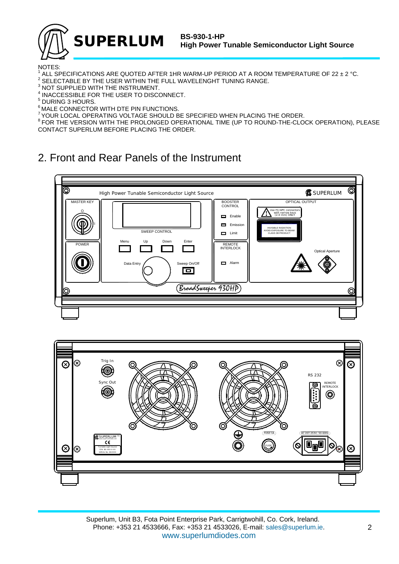

NOTES:

- 1 <sup>1</sup> ALL SPECIFICATIONS ARE QUOTED AFTER 1HR WARM-UP PERIOD AT A ROOM TEMPERATURE OF 22 ± 2 °C.
- <sup>2</sup> SELECTABLE BY THE USER WITHIN THE FULL WAVELENGHT TUNING RANGE.<br><sup>3</sup> NOT SUBBLIED WITH THE INSTRUMENT
- NOT SUPPLIED WITH THE INSTRUMENT. 4
- INACCESSIBLE FOR THE USER TO DISCONNECT.
- 5 DURING 3 HOURS.
- 
- <sup>6</sup> MALE CONNECTOR WITH DTE PIN FUNCTIONS.<br><sup>7</sup> YOUR LOCAL OPERATING VOLTAGE SHOULD BE SPECIFIED WHEN PLACING THE ORDER.

<sup>8</sup> FOR THE VERSION WITH THE PROLONGED OPERATIONAL TIME (UP TO ROUND-THE-CLOCK OPERATION), PLEASE CONTACT SUPERLUM BEFORE PLACING THE ORDER.

## 2. Front and Rear Panels of the Instrument